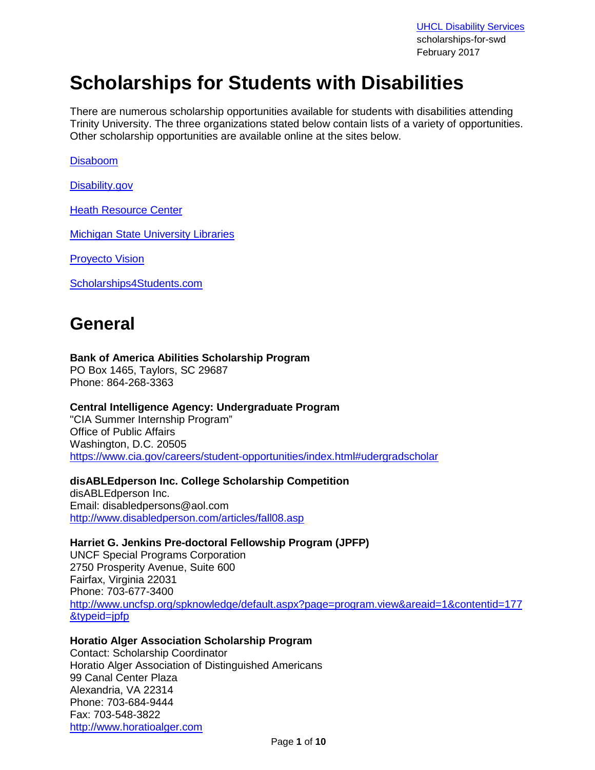**[UHCL Disability Services](http://www.uhcl.edu/disability)** scholarships-for-swd February 2017

# **Scholarships for Students with Disabilities**

There are numerous scholarship opportunities available for students with disabilities attending Trinity University. The three organizations stated below contain lists of a variety of opportunities. Other scholarship opportunities are available online at the sites below.

[Disaboom](http://www.disaboom.com/scholarships)

[Disability.gov](https://www.disability.gov/home/i_want_to/student_financial_aid)

[Heath Resource Center](http://www.heath.gwu.edu/)

[Michigan State University Libraries](http://staff.lib.msu.edu/harris23/grants/3disable.htm)

[Proyecto Vision](http://www.proyectovision.net/english/opportunities/scholarships.html)

[Scholarships4Students.com](http://www.scholarships4students.com/special_scholarships.htm)

## **General**

## **Bank of America Abilities Scholarship Program**

PO Box 1465, Taylors, SC 29687 Phone: 864-268-3363

#### **Central Intelligence Agency: Undergraduate Program**

"CIA Summer Internship Program" Office of Public Affairs Washington, D.C. 20505 [https://www.cia.gov/careers/student-opportunities/index.html#udergradscholar](https://www.cia.gov/careers/student-opportunities/index.html%23udergradscholar)

## **disABLEdperson Inc. College Scholarship Competition**

disABLEdperson Inc. Email: disabledpersons@aol.com <http://www.disabledperson.com/articles/fall08.asp>

## **Harriet G. Jenkins Pre-doctoral Fellowship Program (JPFP)**

UNCF Special Programs Corporation 2750 Prosperity Avenue, Suite 600 Fairfax, Virginia 22031 Phone: 703-677-3400 [http://www.uncfsp.org/spknowledge/default.aspx?page=program.view&areaid=1&contentid=177](http://www.uncfsp.org/spknowledge/default.aspx?page=program.view&areaid=1&contentid=177&typeid=jpfp) [&typeid=jpfp](http://www.uncfsp.org/spknowledge/default.aspx?page=program.view&areaid=1&contentid=177&typeid=jpfp)

## **Horatio Alger Association Scholarship Program**

Contact: Scholarship Coordinator Horatio Alger Association of Distinguished Americans 99 Canal Center Plaza Alexandria, VA 22314 Phone: 703-684-9444 Fax: 703-548-3822 [http://www.horatioalger.com](http://www.horatioalger.com/)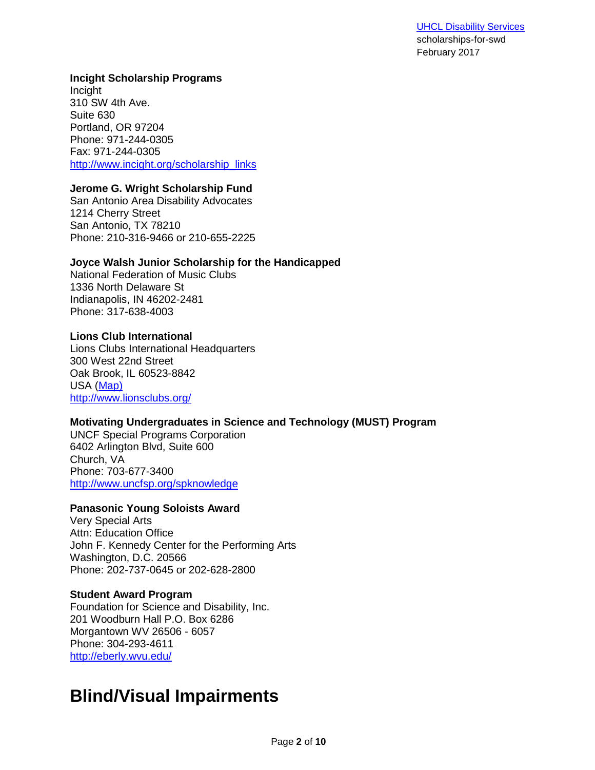#### **Incight Scholarship Programs**

Incight 310 SW 4th Ave. Suite 630 Portland, OR 97204 Phone: 971-244-0305 Fax: 971-244-0305 [http://www.incight.org/scholarship\\_links](http://www.incight.org/scholarship_links)

## **Jerome G. Wright Scholarship Fund**

San Antonio Area Disability Advocates 1214 Cherry Street San Antonio, TX 78210 Phone: 210-316-9466 or 210-655-2225

## **Joyce Walsh Junior Scholarship for the Handicapped**

National Federation of Music Clubs 1336 North Delaware St Indianapolis, IN 46202-2481 Phone: 317-638-4003

**Lions Club International** Lions Clubs International Headquarters 300 West 22nd Street Oak Brook, IL 60523-8842 USA [\(Map\)](http://maps.google.com/maps?f=q&source=s_q&hl=en&geocode=&q=+300+W.+22nd+Street,Oak+Brook,+Illinois,+60523&sll=41.879535,-87.624333&sspn=0.615532,1.031342&g=+,CHICAGO,ILLINOIS&ie=UTF8&ll=41.848721,-87.927532&spn=0.076979,0.128918&z=13&iwloc=A) <http://www.lionsclubs.org/>

## **Motivating Undergraduates in Science and Technology (MUST) Program**

UNCF Special Programs Corporation 6402 Arlington Blvd, Suite 600 Church, VA Phone: 703-677-3400 <http://www.uncfsp.org/spknowledge>

#### **Panasonic Young Soloists Award**

Very Special Arts Attn: Education Office John F. Kennedy Center for the Performing Arts Washington, D.C. 20566 Phone: 202-737-0645 or 202-628-2800

#### **Student Award Program**

Foundation for Science and Disability, Inc. 201 Woodburn Hall P.O. Box 6286 Morgantown WV 26506 - 6057 Phone: 304-293-4611 <http://eberly.wvu.edu/>

# **Blind/Visual Impairments**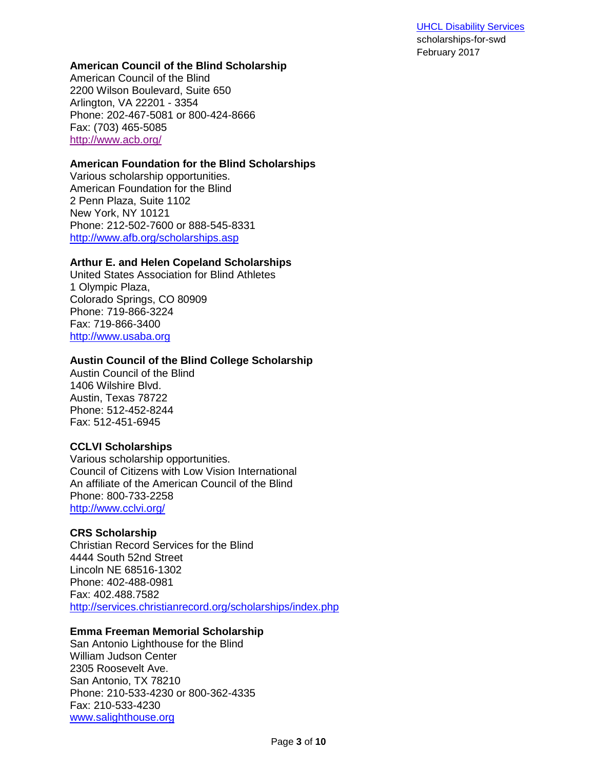#### **[UHCL Disability Services](http://www.uhcl.edu/disability)** scholarships-for-swd

February 2017

#### **American Council of the Blind Scholarship**

American Council of the Blind 2200 Wilson Boulevard, Suite 650 Arlington, VA 22201 - 3354 Phone: 202-467-5081 or 800-424-8666 Fax: (703) 465-5085 <http://www.acb.org/>

#### **American Foundation for the Blind Scholarships**

Various scholarship opportunities. American Foundation for the Blind 2 Penn Plaza, Suite 1102 New York, NY 10121 Phone: 212-502-7600 or 888-545-8331 <http://www.afb.org/scholarships.asp>

#### **Arthur E. and Helen Copeland Scholarships**

United States Association for Blind Athletes 1 Olympic Plaza, Colorado Springs, CO 80909 Phone: 719-866-3224 Fax: 719-866-3400 [http://www.usaba.org](http://www.usaba.org/)

#### **Austin Council of the Blind College Scholarship**

Austin Council of the Blind 1406 Wilshire Blvd. Austin, Texas 78722 Phone: 512-452-8244 Fax: 512-451-6945

#### **CCLVI Scholarships**

Various scholarship opportunities. Council of Citizens with Low Vision International An affiliate of the American Council of the Blind Phone: 800-733-2258 <http://www.cclvi.org/>

#### **CRS Scholarship**

Christian Record Services for the Blind 4444 South 52nd Street Lincoln NE 68516-1302 Phone: 402-488-0981 Fax: 402.488.7582 <http://services.christianrecord.org/scholarships/index.php>

#### **Emma Freeman Memorial Scholarship**

San Antonio Lighthouse for the Blind William Judson Center 2305 Roosevelt Ave. San Antonio, TX 78210 Phone: 210-533-4230 or 800-362-4335 Fax: 210-533-4230 [www.salighthouse.org](http://www.salighthouse.org/)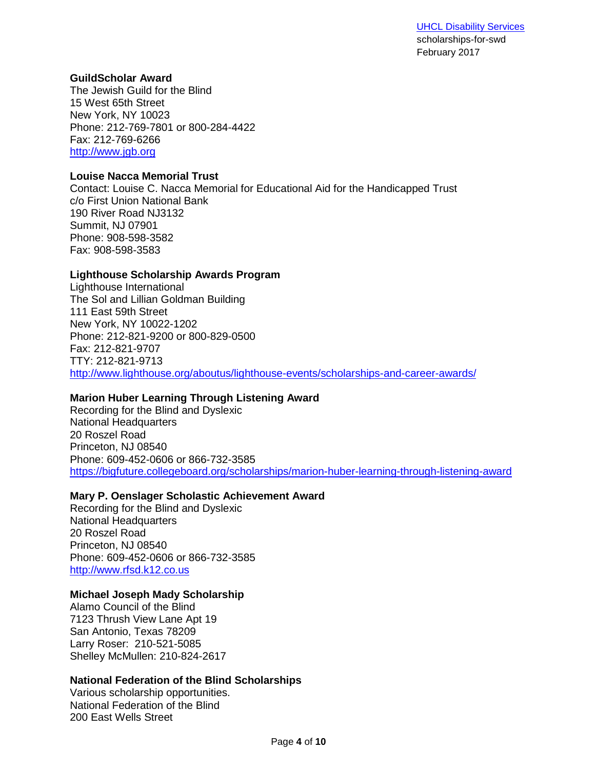#### **GuildScholar Award**

The Jewish Guild for the Blind 15 West 65th Street New York, NY 10023 Phone: 212-769-7801 or 800-284-4422 Fax: 212-769-6266 [http://www.jgb.org](http://www.jgb.org/)

### **Louise Nacca Memorial Trust**

Contact: Louise C. Nacca Memorial for Educational Aid for the Handicapped Trust c/o First Union National Bank 190 River Road NJ3132 Summit, NJ 07901 Phone: 908-598-3582 Fax: 908-598-3583

## **Lighthouse Scholarship Awards Program**

Lighthouse International The Sol and Lillian Goldman Building 111 East 59th Street New York, NY 10022-1202 Phone: 212-821-9200 or 800-829-0500 Fax: 212-821-9707 TTY: 212-821-9713 <http://www.lighthouse.org/aboutus/lighthouse-events/scholarships-and-career-awards/>

## **Marion Huber Learning Through Listening Award**

Recording for the Blind and Dyslexic National Headquarters 20 Roszel Road Princeton, NJ 08540 Phone: 609-452-0606 or 866-732-3585 <https://bigfuture.collegeboard.org/scholarships/marion-huber-learning-through-listening-award>

## **Mary P. Oenslager Scholastic Achievement Award**

Recording for the Blind and Dyslexic National Headquarters 20 Roszel Road Princeton, NJ 08540 Phone: 609-452-0606 or 866-732-3585 [http://www.rfsd.k12.co.us](http://www.rfsd.k12.co.us/)

#### **Michael Joseph Mady Scholarship**

Alamo Council of the Blind 7123 Thrush View Lane Apt 19 San Antonio, Texas 78209 Larry Roser: 210-521-5085 Shelley McMullen: 210-824-2617

#### **National Federation of the Blind Scholarships**

Various scholarship opportunities. National Federation of the Blind 200 East Wells Street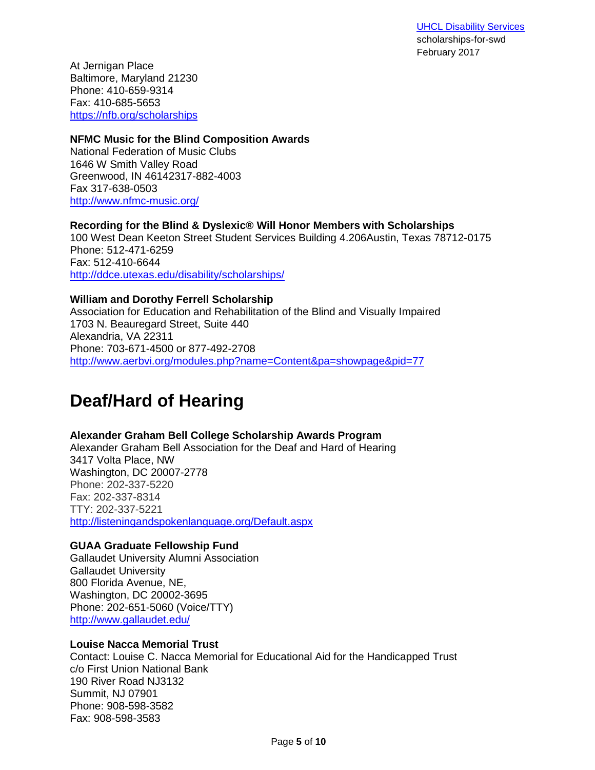At Jernigan Place Baltimore, Maryland 21230 Phone: 410-659-9314 Fax: 410-685-5653 <https://nfb.org/scholarships>

## **NFMC Music for the Blind Composition Awards**

National Federation of Music Clubs 1646 W Smith Valley Road Greenwood, IN 46142317-882-4003 Fax 317-638-0503 <http://www.nfmc-music.org/>

#### **Recording for the Blind & Dyslexic® Will Honor Members with Scholarships** 100 West Dean Keeton Street Student Services Building 4.206Austin, Texas 78712-0175 Phone: 512-471-6259 Fax: 512-410-6644 <http://ddce.utexas.edu/disability/scholarships/>

### **William and Dorothy Ferrell Scholarship**

Association for Education and Rehabilitation of the Blind and Visually Impaired 1703 N. Beauregard Street, Suite 440 Alexandria, VA 22311 Phone: 703-671-4500 or 877-492-2708 <http://www.aerbvi.org/modules.php?name=Content&pa=showpage&pid=77>

# **Deaf/Hard of Hearing**

## **Alexander Graham Bell College Scholarship Awards Program**

Alexander Graham Bell Association for the Deaf and Hard of Hearing 3417 Volta Place, NW Washington, DC 20007-2778 Phone: 202-337-5220 Fax: 202-337-8314 TTY: 202-337-5221 <http://listeningandspokenlanguage.org/Default.aspx>

## **GUAA Graduate Fellowship Fund**

Gallaudet University Alumni Association Gallaudet University 800 Florida Avenue, NE, Washington, DC 20002-3695 Phone: 202-651-5060 (Voice/TTY) <http://www.gallaudet.edu/>

## **Louise Nacca Memorial Trust**

Contact: Louise C. Nacca Memorial for Educational Aid for the Handicapped Trust c/o First Union National Bank 190 River Road NJ3132 Summit, NJ 07901 Phone: 908-598-3582 Fax: 908-598-3583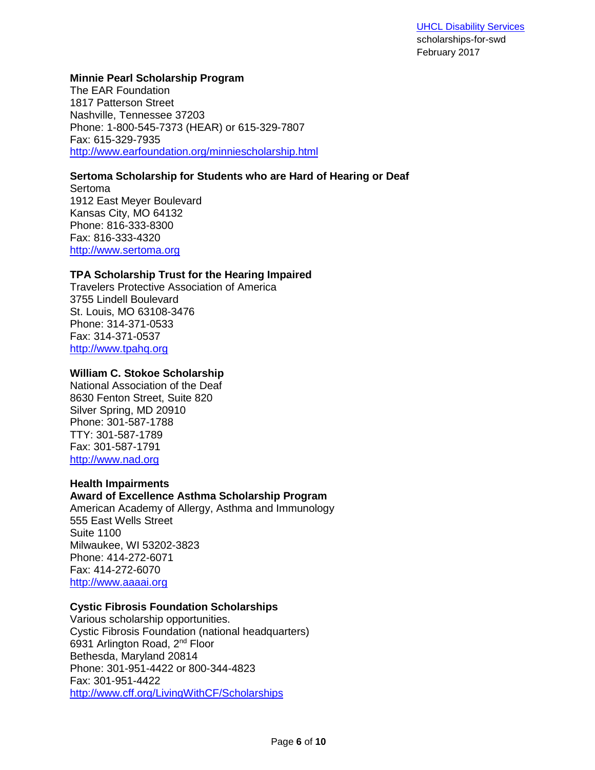#### **Minnie Pearl Scholarship Program**

The EAR Foundation 1817 Patterson Street Nashville, Tennessee 37203 Phone: 1-800-545-7373 (HEAR) or 615-329-7807 Fax: 615-329-7935 <http://www.earfoundation.org/minniescholarship.html>

## **Sertoma Scholarship for Students who are Hard of Hearing or Deaf**

Sertoma 1912 East Meyer Boulevard Kansas City, MO 64132 Phone: 816-333-8300 Fax: 816-333-4320 [http://www.sertoma.org](http://www.sertoma.org/NETCOMMUNITY/Page.aspx?pid=344&srcid=190) 

### **TPA Scholarship Trust for the Hearing Impaired**

Travelers Protective Association of America 3755 Lindell Boulevard St. Louis, MO 63108-3476 Phone: 314-371-0533 Fax: 314-371-0537 [http://www.tpahq.org](http://www.tpahq.org/)

## **William C. Stokoe Scholarship**

National Association of the Deaf 8630 Fenton Street, Suite 820 Silver Spring, MD 20910 Phone: 301-587-1788 TTY: 301-587-1789 Fax: 301-587-1791 [http://www.nad.org](http://www.nad.org/)

## **Health Impairments**

#### **Award of Excellence Asthma Scholarship Program**

American Academy of Allergy, Asthma and Immunology 555 East Wells Street Suite 1100 Milwaukee, WI 53202-3823 Phone: 414-272-6071 Fax: 414-272-6070 [http://www.aaaai.org](http://www.aaaai.org/)

#### **Cystic Fibrosis Foundation Scholarships**

Various scholarship opportunities. Cystic Fibrosis Foundation (national headquarters) 6931 Arlington Road, 2nd Floor Bethesda, Maryland 20814 Phone: 301-951-4422 or 800-344-4823 Fax: 301-951-4422 <http://www.cff.org/LivingWithCF/Scholarships>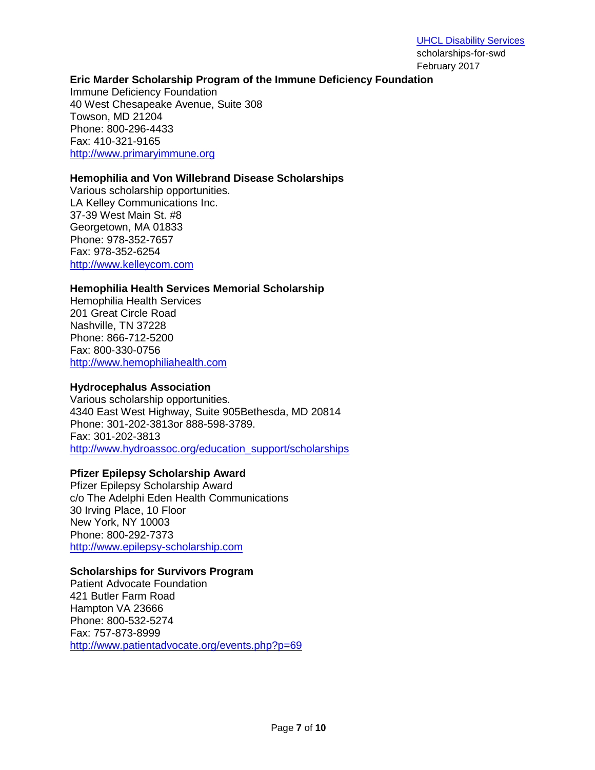### **Eric Marder Scholarship Program of the Immune Deficiency Foundation**

Immune Deficiency Foundation 40 West Chesapeake Avenue, Suite 308 Towson, MD 21204 Phone: 800-296-4433 Fax: 410-321-9165 [http://www.primaryimmune.org](http://www.primaryimmune.org/)

#### **Hemophilia and Von Willebrand Disease Scholarships**

Various scholarship opportunities. LA Kelley Communications Inc. 37-39 West Main St. #8 Georgetown, MA 01833 Phone: 978-352-7657 Fax: 978-352-6254 [http://www.kelleycom.com](http://www.kelleycom.com/)

#### **Hemophilia Health Services Memorial Scholarship**

Hemophilia Health Services 201 Great Circle Road Nashville, TN 37228 Phone: 866-712-5200 Fax: 800-330-0756 [http://www.hemophiliahealth.com](http://www.hemophiliahealth.com/)

#### **Hydrocephalus Association**

Various scholarship opportunities. 4340 East West Highway, Suite 905Bethesda, MD 20814 Phone: 301-202-3813or 888-598-3789. Fax: 301-202-3813 [http://www.hydroassoc.org/education\\_support/scholarships](http://www.hydroassoc.org/education_support/scholarships)

#### **Pfizer Epilepsy Scholarship Award**

Pfizer Epilepsy Scholarship Award c/o The Adelphi Eden Health Communications 30 Irving Place, 10 Floor New York, NY 10003 Phone: 800-292-7373 [http://www.epilepsy-scholarship.com](http://www.epilepsy-scholarship.com/)

#### **Scholarships for Survivors Program**

Patient Advocate Foundation 421 Butler Farm Road Hampton VA 23666 Phone: 800-532-5274 Fax: 757-873-8999 <http://www.patientadvocate.org/events.php?p=69>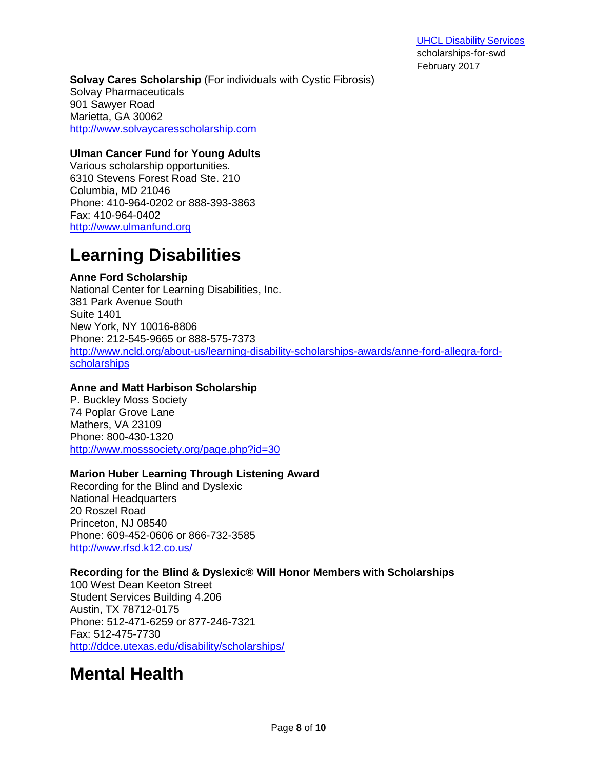**Solvay Cares Scholarship** (For individuals with Cystic Fibrosis) Solvay Pharmaceuticals 901 Sawyer Road Marietta, GA 30062 [http://www.solvaycaresscholarship.com](http://www.solvaycaresscholarship.com/)

### **Ulman Cancer Fund for Young Adults**

Various scholarship opportunities. 6310 Stevens Forest Road Ste. 210 Columbia, MD 21046 Phone: 410-964-0202 or 888-393-3863 Fax: 410-964-0402 [http://www.ulmanfund.org](http://www.ulmanfund.org/)

## **Learning Disabilities**

## **Anne Ford Scholarship**

National Center for Learning Disabilities, Inc. 381 Park Avenue South Suite 1401 New York, NY 10016-8806 Phone: 212-545-9665 or 888-575-7373 [http://www.ncld.org/about-us/learning-disability-scholarships-awards/anne-ford-allegra-ford](http://www.ncld.org/about-us/learning-disability-scholarships-awards/anne-ford-allegra-ford-scholarships)[scholarships](http://www.ncld.org/about-us/learning-disability-scholarships-awards/anne-ford-allegra-ford-scholarships)

## **Anne and Matt Harbison Scholarship**

P. Buckley Moss Society 74 Poplar Grove Lane Mathers, VA 23109 Phone: 800-430-1320 <http://www.mosssociety.org/page.php?id=30>

## **Marion Huber Learning Through Listening Award**

Recording for the Blind and Dyslexic National Headquarters 20 Roszel Road Princeton, NJ 08540 Phone: 609-452-0606 or 866-732-3585 <http://www.rfsd.k12.co.us/>

## **Recording for the Blind & Dyslexic® Will Honor Members with Scholarships**

100 West Dean Keeton Street Student Services Building 4.206 Austin, TX 78712-0175 Phone: 512-471-6259 or 877-246-7321 Fax: 512-475-7730 <http://ddce.utexas.edu/disability/scholarships/>

# **Mental Health**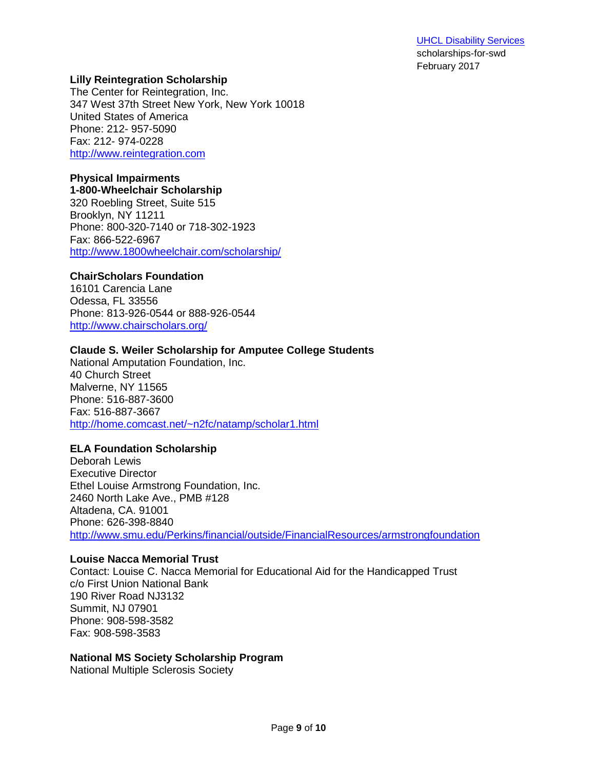### **Lilly Reintegration Scholarship**

The Center for Reintegration, Inc. 347 West 37th Street New York, New York 10018 United States of America Phone: 212- 957-5090 Fax: 212- 974-0228 [http://www.reintegration.com](http://www.reintegration.com/)

## **Physical Impairments**

**1-800-Wheelchair Scholarship** 320 Roebling Street, Suite 515 Brooklyn, NY 11211 Phone: 800-320-7140 or 718-302-1923 Fax: 866-522-6967 <http://www.1800wheelchair.com/scholarship/>

### **ChairScholars Foundation**

16101 Carencia Lane Odessa, FL 33556 Phone: 813-926-0544 or 888-926-0544 <http://www.chairscholars.org/>

### **Claude S. Weiler Scholarship for Amputee College Students**

National Amputation Foundation, Inc. 40 Church Street Malverne, NY 11565 Phone: 516-887-3600 Fax: 516-887-3667 [http://home.comcast.net/~n2fc/natamp/scholar1.html](http://home.comcast.net/%7En2fc/natamp/scholar1.html)

## **ELA Foundation Scholarship**

Deborah Lewis Executive Director Ethel Louise Armstrong Foundation, Inc. 2460 North Lake Ave., PMB #128 Altadena, CA. 91001 Phone: 626-398-8840 <http://www.smu.edu/Perkins/financial/outside/FinancialResources/armstrongfoundation>

#### **Louise Nacca Memorial Trust**

Contact: Louise C. Nacca Memorial for Educational Aid for the Handicapped Trust c/o First Union National Bank 190 River Road NJ3132 Summit, NJ 07901 Phone: 908-598-3582 Fax: 908-598-3583

#### **National MS Society Scholarship Program**

National Multiple Sclerosis Society